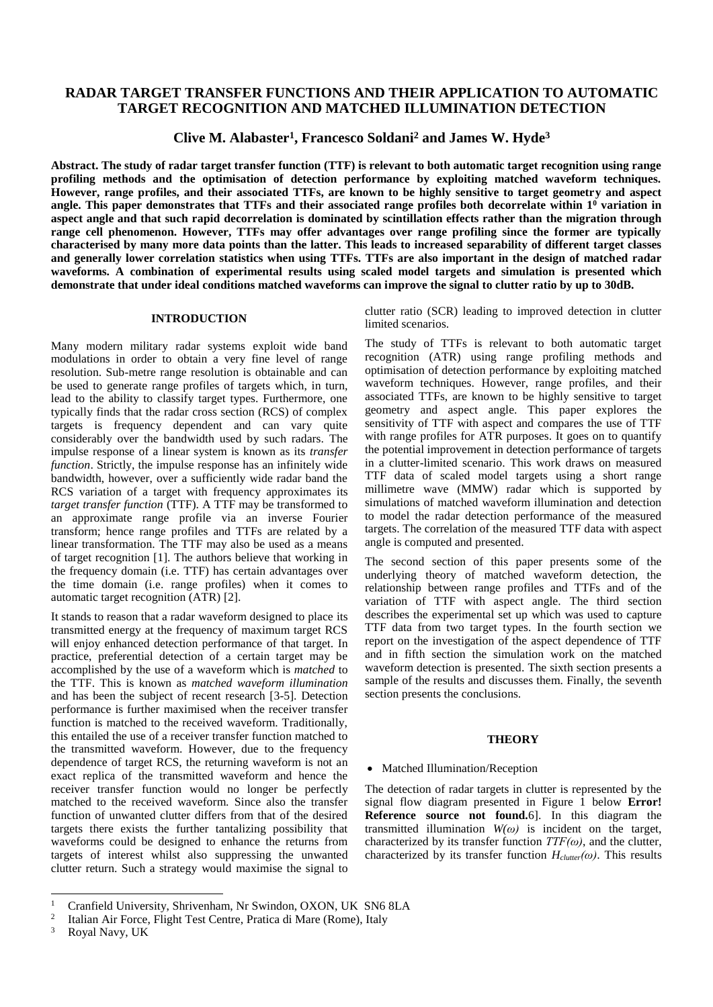# **RADAR TARGET TRANSFER FUNCTIONS AND THEIR APPLICATION TO AUTOMATIC TARGET RECOGNITION AND MATCHED ILLUMINATION DETECTION**

**Clive M. Alabaster<sup>1</sup> , Francesco Soldani<sup>2</sup> and James W. Hyde<sup>3</sup>**

**Abstract. The study of radar target transfer function (TTF) is relevant to both automatic target recognition using range profiling methods and the optimisation of detection performance by exploiting matched waveform techniques. However, range profiles, and their associated TTFs, are known to be highly sensitive to target geometry and aspect angle. This paper demonstrates that TTFs and their associated range profiles both decorrelate within 1<sup>0</sup> variation in aspect angle and that such rapid decorrelation is dominated by scintillation effects rather than the migration through range cell phenomenon. However, TTFs may offer advantages over range profiling since the former are typically characterised by many more data points than the latter. This leads to increased separability of different target classes and generally lower correlation statistics when using TTFs. TTFs are also important in the design of matched radar waveforms. A combination of experimental results using scaled model targets and simulation is presented which demonstrate that under ideal conditions matched waveforms can improve the signal to clutter ratio by up to 30dB.**

#### **INTRODUCTION**

Many modern military radar systems exploit wide band modulations in order to obtain a very fine level of range resolution. Sub-metre range resolution is obtainable and can be used to generate range profiles of targets which, in turn, lead to the ability to classify target types. Furthermore, one typically finds that the radar cross section (RCS) of complex targets is frequency dependent and can vary quite considerably over the bandwidth used by such radars. The impulse response of a linear system is known as its *transfer function*. Strictly, the impulse response has an infinitely wide bandwidth, however, over a sufficiently wide radar band the RCS variation of a target with frequency approximates its *target transfer function* (TTF). A TTF may be transformed to an approximate range profile via an inverse Fourier transform; hence range profiles and TTFs are related by a linear transformation. The TTF may also be used as a means of target recognition [1]. The authors believe that working in the frequency domain (i.e. TTF) has certain advantages over the time domain (i.e. range profiles) when it comes to automatic target recognition (ATR) [2].

It stands to reason that a radar waveform designed to place its transmitted energy at the frequency of maximum target RCS will enjoy enhanced detection performance of that target. In practice, preferential detection of a certain target may be accomplished by the use of a waveform which is *matched* to the TTF. This is known as *matched waveform illumination* and has been the subject of recent research [3-5]. Detection performance is further maximised when the receiver transfer function is matched to the received waveform. Traditionally, this entailed the use of a receiver transfer function matched to the transmitted waveform. However, due to the frequency dependence of target RCS, the returning waveform is not an exact replica of the transmitted waveform and hence the receiver transfer function would no longer be perfectly matched to the received waveform. Since also the transfer function of unwanted clutter differs from that of the desired targets there exists the further tantalizing possibility that waveforms could be designed to enhance the returns from targets of interest whilst also suppressing the unwanted clutter return. Such a strategy would maximise the signal to

clutter ratio (SCR) leading to improved detection in clutter limited scenarios.

The study of TTFs is relevant to both automatic target recognition (ATR) using range profiling methods and optimisation of detection performance by exploiting matched waveform techniques. However, range profiles, and their associated TTFs, are known to be highly sensitive to target geometry and aspect angle. This paper explores the sensitivity of TTF with aspect and compares the use of TTF with range profiles for ATR purposes. It goes on to quantify the potential improvement in detection performance of targets in a clutter-limited scenario. This work draws on measured TTF data of scaled model targets using a short range millimetre wave (MMW) radar which is supported by simulations of matched waveform illumination and detection to model the radar detection performance of the measured targets. The correlation of the measured TTF data with aspect angle is computed and presented.

The second section of this paper presents some of the underlying theory of matched waveform detection, the relationship between range profiles and TTFs and of the variation of TTF with aspect angle. The third section describes the experimental set up which was used to capture TTF data from two target types. In the fourth section we report on the investigation of the aspect dependence of TTF and in fifth section the simulation work on the matched waveform detection is presented. The sixth section presents a sample of the results and discusses them. Finally, the seventh section presents the conclusions.

### **THEORY**

### • Matched Illumination/Reception

The detection of radar targets in clutter is represented by the signal flow diagram presented in Figure 1 below **Error! Reference source not found.**6]. In this diagram the transmitted illumination  $W(\omega)$  is incident on the target, characterized by its transfer function  $TTF(\omega)$ , and the clutter, characterized by its transfer function *Hclutter(ω)*. This results

 $\mathbf{1}$ <sup>1</sup> Cranfield University, Shrivenham, Nr Swindon, OXON, UK SN6 8LA

<sup>2</sup> Italian Air Force, Flight Test Centre, Pratica di Mare (Rome), Italy

<sup>&</sup>lt;sup>3</sup> Royal Navy, UK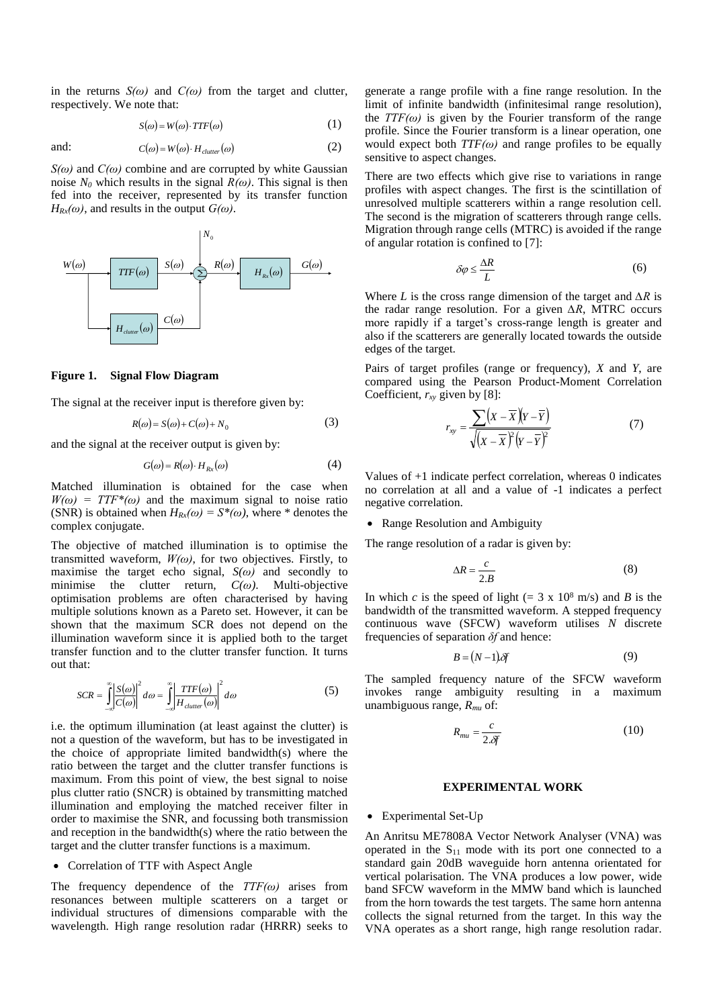in the returns  $S(\omega)$  and  $C(\omega)$  from the target and clutter, respectively. We note that:

$$
S(\omega) = W(\omega) \cdot TTF(\omega) \tag{1}
$$

and:  $C(\omega) = W(\omega) \cdot H_{cluster}(\omega)$ (2)

*S(ω)* and *C(ω)* combine and are corrupted by white Gaussian noise  $N_0$  which results in the signal  $R(\omega)$ . This signal is then fed into the receiver, represented by its transfer function  $H_{Rx}(\omega)$ , and results in the output  $G(\omega)$ .



### **Figure 1. Signal Flow Diagram**

The signal at the receiver input is therefore given by:

$$
R(\omega) = S(\omega) + C(\omega) + N_0 \tag{3}
$$

and the signal at the receiver output is given by:

$$
G(\omega) = R(\omega) \cdot H_{Rx}(\omega) \tag{4}
$$

Matched illumination is obtained for the case when  $W(\omega) = TTF^*(\omega)$  and the maximum signal to noise ratio (SNR) is obtained when  $H_{Rx}(\omega) = S^*(\omega)$ , where \* denotes the complex conjugate.

The objective of matched illumination is to optimise the transmitted waveform,  $W(\omega)$ , for two objectives. Firstly, to maximise the target echo signal,  $S(\omega)$  and secondly to minimise the clutter return, *C(ω)*. Multi-objective optimisation problems are often characterised by having multiple solutions known as a Pareto set. However, it can be shown that the maximum SCR does not depend on the illumination waveform since it is applied both to the target transfer function and to the clutter transfer function. It turns out that:

$$
SCR = \int_{-\infty}^{\infty} \left| \frac{S(\omega)}{C(\omega)} \right|^2 d\omega = \int_{-\infty}^{\infty} \left| \frac{TTF(\omega)}{H_{clutter}(\omega)} \right|^2 d\omega \tag{5}
$$

i.e. the optimum illumination (at least against the clutter) is not a question of the waveform, but has to be investigated in the choice of appropriate limited bandwidth(s) where the ratio between the target and the clutter transfer functions is maximum. From this point of view, the best signal to noise plus clutter ratio (SNCR) is obtained by transmitting matched illumination and employing the matched receiver filter in order to maximise the SNR, and focussing both transmission and reception in the bandwidth(s) where the ratio between the target and the clutter transfer functions is a maximum.

### • Correlation of TTF with Aspect Angle

The frequency dependence of the *TTF(ω)* arises from resonances between multiple scatterers on a target or individual structures of dimensions comparable with the wavelength. High range resolution radar (HRRR) seeks to

generate a range profile with a fine range resolution. In the limit of infinite bandwidth (infinitesimal range resolution), the  $TTF(\omega)$  is given by the Fourier transform of the range profile. Since the Fourier transform is a linear operation, one would expect both  $TTF(\omega)$  and range profiles to be equally sensitive to aspect changes.

There are two effects which give rise to variations in range profiles with aspect changes. The first is the scintillation of unresolved multiple scatterers within a range resolution cell. The second is the migration of scatterers through range cells. Migration through range cells (MTRC) is avoided if the range of angular rotation is confined to [7]:

$$
\delta \varphi \le \frac{\Delta R}{L} \tag{6}
$$

Where *L* is the cross range dimension of the target and *∆R* is the radar range resolution. For a given *∆R*, MTRC occurs more rapidly if a target's cross-range length is greater and also if the scatterers are generally located towards the outside edges of the target.

Pairs of target profiles (range or frequency), *X* and *Y*, are compared using the Pearson Product-Moment Correlation Coefficient, *rxy* given by [8]:

$$
r_{xy} = \frac{\sum (X - \overline{X})(Y - \overline{Y})}{\sqrt{(X - \overline{X})^2 (Y - \overline{Y})^2}}
$$
(7)

Values of +1 indicate perfect correlation, whereas 0 indicates no correlation at all and a value of -1 indicates a perfect negative correlation.

### • Range Resolution and Ambiguity

The range resolution of a radar is given by:

$$
\Delta R = \frac{c}{2.B} \tag{8}
$$

In which *c* is the speed of light (= 3 x  $10^8$  m/s) and *B* is the bandwidth of the transmitted waveform. A stepped frequency continuous wave (SFCW) waveform utilises *N* discrete frequencies of separation *δf* and hence:

$$
B = (N-1)\delta f \tag{9}
$$

The sampled frequency nature of the SFCW waveform invokes range ambiguity resulting in a maximum unambiguous range, *Rmu* of:

$$
R_{mu} = \frac{c}{2.\delta f} \tag{10}
$$

#### **EXPERIMENTAL WORK**

### Experimental Set-Up

An Anritsu ME7808A Vector Network Analyser (VNA) was operated in the  $S_{11}$  mode with its port one connected to a standard gain 20dB waveguide horn antenna orientated for vertical polarisation. The VNA produces a low power, wide band SFCW waveform in the MMW band which is launched from the horn towards the test targets. The same horn antenna collects the signal returned from the target. In this way the VNA operates as a short range, high range resolution radar.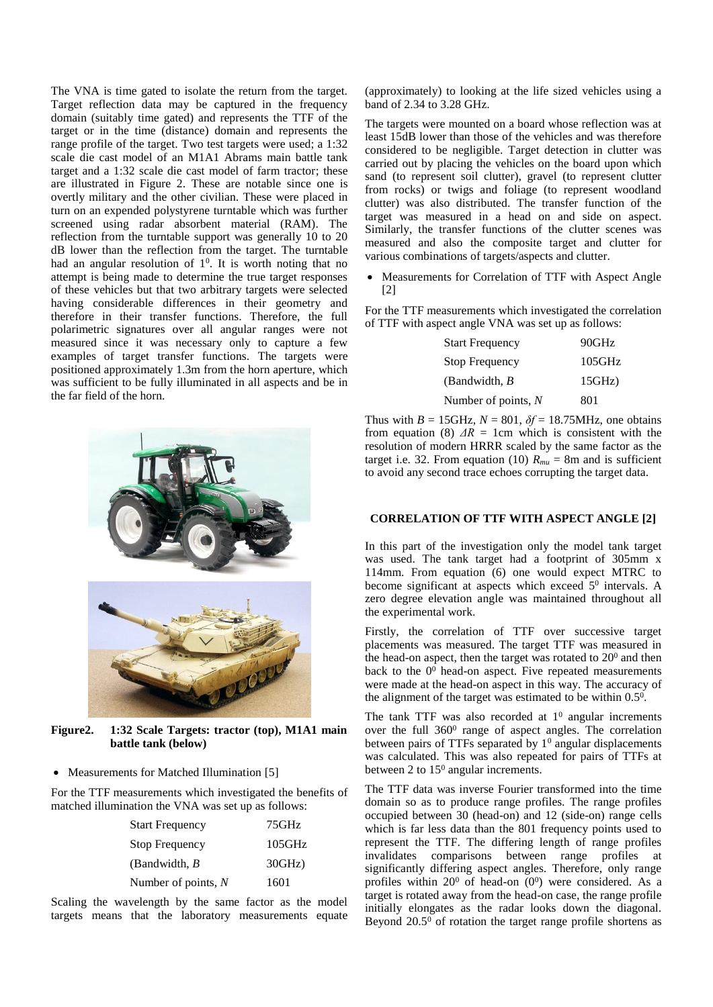The VNA is time gated to isolate the return from the target. Target reflection data may be captured in the frequency domain (suitably time gated) and represents the TTF of the target or in the time (distance) domain and represents the range profile of the target. Two test targets were used; a 1:32 scale die cast model of an M1A1 Abrams main battle tank target and a 1:32 scale die cast model of farm tractor; these are illustrated in Figure 2. These are notable since one is overtly military and the other civilian. These were placed in turn on an expended polystyrene turntable which was further screened using radar absorbent material (RAM). The reflection from the turntable support was generally 10 to 20 dB lower than the reflection from the target. The turntable had an angular resolution of  $1<sup>0</sup>$ . It is worth noting that no attempt is being made to determine the true target responses of these vehicles but that two arbitrary targets were selected having considerable differences in their geometry and therefore in their transfer functions. Therefore, the full polarimetric signatures over all angular ranges were not measured since it was necessary only to capture a few examples of target transfer functions. The targets were positioned approximately 1.3m from the horn aperture, which was sufficient to be fully illuminated in all aspects and be in the far field of the horn.



**Figure2. 1:32 Scale Targets: tractor (top), M1A1 main battle tank (below)**

• Measurements for Matched Illumination [5]

For the TTF measurements which investigated the benefits of matched illumination the VNA was set up as follows:

| 75GHz     |
|-----------|
| 105GHz    |
| $30GHz$ ) |
| 1601      |
|           |

Scaling the wavelength by the same factor as the model targets means that the laboratory measurements equate

(approximately) to looking at the life sized vehicles using a band of 2.34 to 3.28 GHz.

The targets were mounted on a board whose reflection was at least 15dB lower than those of the vehicles and was therefore considered to be negligible. Target detection in clutter was carried out by placing the vehicles on the board upon which sand (to represent soil clutter), gravel (to represent clutter from rocks) or twigs and foliage (to represent woodland clutter) was also distributed. The transfer function of the target was measured in a head on and side on aspect. Similarly, the transfer functions of the clutter scenes was measured and also the composite target and clutter for various combinations of targets/aspects and clutter.

 Measurements for Correlation of TTF with Aspect Angle [2]

For the TTF measurements which investigated the correlation of TTF with aspect angle VNA was set up as follows:

| <b>Start Frequency</b> | 90GHz  |
|------------------------|--------|
| <b>Stop Frequency</b>  | 105GHz |
| (Bandwidth, $B$        | 15GHz  |
| Number of points, $N$  | 801    |

Thus with  $B = 15$ GHz,  $N = 801$ ,  $\delta f = 18.75$ MHz, one obtains from equation (8)  $\Delta R = 1$ cm which is consistent with the resolution of modern HRRR scaled by the same factor as the target i.e. 32. From equation (10)  $R_{mu} = 8$ m and is sufficient to avoid any second trace echoes corrupting the target data.

# **CORRELATION OF TTF WITH ASPECT ANGLE [2]**

In this part of the investigation only the model tank target was used. The tank target had a footprint of 305mm x 114mm. From equation (6) one would expect MTRC to become significant at aspects which exceed 5<sup>0</sup> intervals. A zero degree elevation angle was maintained throughout all the experimental work.

Firstly, the correlation of TTF over successive target placements was measured. The target TTF was measured in the head-on aspect, then the target was rotated to  $20<sup>0</sup>$  and then back to the  $0<sup>0</sup>$  head-on aspect. Five repeated measurements were made at the head-on aspect in this way. The accuracy of the alignment of the target was estimated to be within  $0.5<sup>0</sup>$ .

The tank TTF was also recorded at  $1<sup>0</sup>$  angular increments over the full 360<sup>0</sup> range of aspect angles. The correlation between pairs of TTFs separated by  $1<sup>0</sup>$  angular displacements was calculated. This was also repeated for pairs of TTFs at between 2 to 15<sup>0</sup> angular increments.

The TTF data was inverse Fourier transformed into the time domain so as to produce range profiles. The range profiles occupied between 30 (head-on) and 12 (side-on) range cells which is far less data than the 801 frequency points used to represent the TTF. The differing length of range profiles invalidates comparisons between range profiles at significantly differing aspect angles. Therefore, only range profiles within  $20^0$  of head-on  $(0^0)$  were considered. As a target is rotated away from the head-on case, the range profile initially elongates as the radar looks down the diagonal. Beyond  $20.5^\circ$  of rotation the target range profile shortens as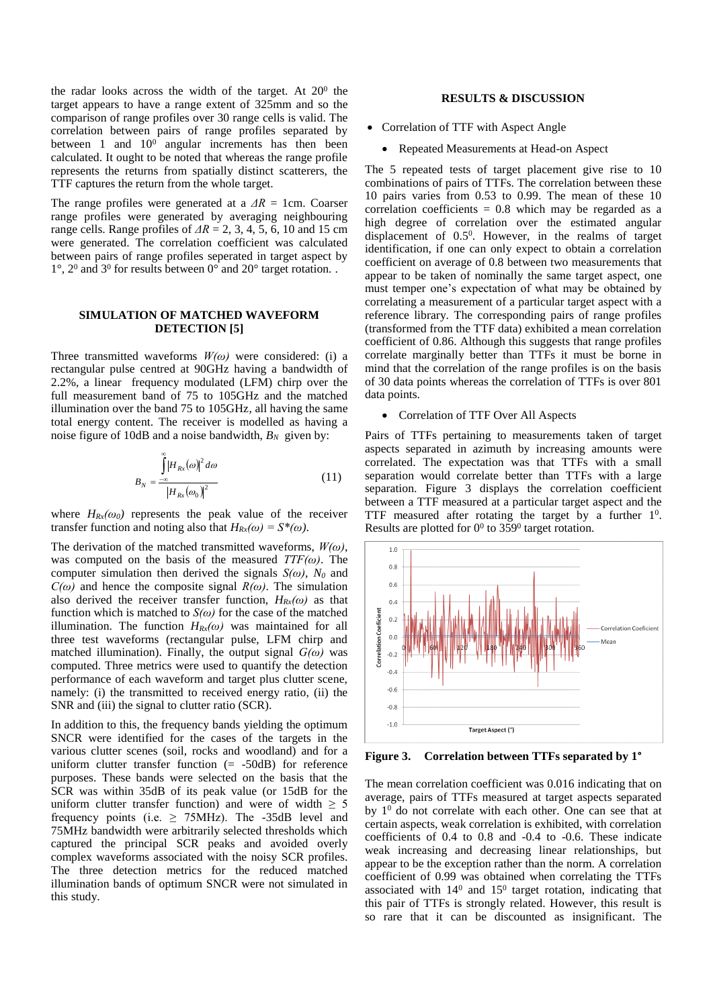the radar looks across the width of the target. At  $20^{\circ}$  the target appears to have a range extent of 325mm and so the comparison of range profiles over 30 range cells is valid. The correlation between pairs of range profiles separated by between 1 and  $10^0$  angular increments has then been calculated. It ought to be noted that whereas the range profile represents the returns from spatially distinct scatterers, the TTF captures the return from the whole target.

The range profiles were generated at a *ΔR* = 1cm. Coarser range profiles were generated by averaging neighbouring range cells. Range profiles of  $\Delta R = 2, 3, 4, 5, 6, 10$  and 15 cm were generated. The correlation coefficient was calculated between pairs of range profiles seperated in target aspect by  $1^{\circ}$ ,  $2^{\circ}$  and  $3^{\circ}$  for results between  $0^{\circ}$  and  $20^{\circ}$  target rotation..

### **SIMULATION OF MATCHED WAVEFORM DETECTION [5]**

Three transmitted waveforms *W(ω)* were considered: (i) a rectangular pulse centred at 90GHz having a bandwidth of 2.2%, a linear frequency modulated (LFM) chirp over the full measurement band of 75 to 105GHz and the matched illumination over the band 75 to 105GHz, all having the same total energy content. The receiver is modelled as having a noise figure of 10dB and a noise bandwidth,  $B_N$  given by:

$$
B_N = \frac{\int_{-\infty}^{\infty} |H_{Rx}(\omega)|^2 d\omega}{|H_{Rx}(\omega_0)|^2}
$$
(11)

where  $H_{Rx}(\omega_0)$  represents the peak value of the receiver transfer function and noting also that  $H_{Rx}(\omega) = S^*(\omega)$ .

The derivation of the matched transmitted waveforms, *W(ω)*, was computed on the basis of the measured *TTF(ω)*. The computer simulation then derived the signals *S(ω)*, *N<sup>0</sup>* and  $C(\omega)$  and hence the composite signal  $R(\omega)$ . The simulation also derived the receiver transfer function,  $H_{Rx}(\omega)$  as that function which is matched to  $S(\omega)$  for the case of the matched illumination. The function  $H_{Rx}(\omega)$  was maintained for all three test waveforms (rectangular pulse, LFM chirp and matched illumination). Finally, the output signal  $G(\omega)$  was computed. Three metrics were used to quantify the detection performance of each waveform and target plus clutter scene, namely: (i) the transmitted to received energy ratio, (ii) the SNR and (iii) the signal to clutter ratio (SCR).

In addition to this, the frequency bands yielding the optimum SNCR were identified for the cases of the targets in the various clutter scenes (soil, rocks and woodland) and for a uniform clutter transfer function  $(= -50dB)$  for reference purposes. These bands were selected on the basis that the SCR was within 35dB of its peak value (or 15dB for the uniform clutter transfer function) and were of width  $\geq$  5 frequency points (i.e.  $\geq$  75MHz). The -35dB level and 75MHz bandwidth were arbitrarily selected thresholds which captured the principal SCR peaks and avoided overly complex waveforms associated with the noisy SCR profiles. The three detection metrics for the reduced matched illumination bands of optimum SNCR were not simulated in this study.

## **RESULTS & DISCUSSION**

- Correlation of TTF with Aspect Angle
	- Repeated Measurements at Head-on Aspect

The 5 repeated tests of target placement give rise to 10 combinations of pairs of TTFs. The correlation between these 10 pairs varies from 0.53 to 0.99. The mean of these 10 correlation coefficients  $= 0.8$  which may be regarded as a high degree of correlation over the estimated angular displacement of 0.5<sup>0</sup> . However, in the realms of target identification, if one can only expect to obtain a correlation coefficient on average of 0.8 between two measurements that appear to be taken of nominally the same target aspect, one must temper one's expectation of what may be obtained by correlating a measurement of a particular target aspect with a reference library. The corresponding pairs of range profiles (transformed from the TTF data) exhibited a mean correlation coefficient of 0.86. Although this suggests that range profiles correlate marginally better than TTFs it must be borne in mind that the correlation of the range profiles is on the basis of 30 data points whereas the correlation of TTFs is over 801 data points.

### • Correlation of TTF Over All Aspects

Pairs of TTFs pertaining to measurements taken of target aspects separated in azimuth by increasing amounts were correlated. The expectation was that TTFs with a small separation would correlate better than TTFs with a large separation. Figure 3 displays the correlation coefficient between a TTF measured at a particular target aspect and the TTF measured after rotating the target by a further  $1^0$ . Results are plotted for  $0^0$  to 359<sup>0</sup> target rotation.



**Figure 3. Correlation between TTFs separated by 1°**

The mean correlation coefficient was 0.016 indicating that on average, pairs of TTFs measured at target aspects separated by  $1<sup>0</sup>$  do not correlate with each other. One can see that at certain aspects, weak correlation is exhibited, with correlation coefficients of 0.4 to 0.8 and -0.4 to -0.6. These indicate weak increasing and decreasing linear relationships, but appear to be the exception rather than the norm. A correlation coefficient of 0.99 was obtained when correlating the TTFs associated with  $14^0$  and  $15^0$  target rotation, indicating that this pair of TTFs is strongly related. However, this result is so rare that it can be discounted as insignificant. The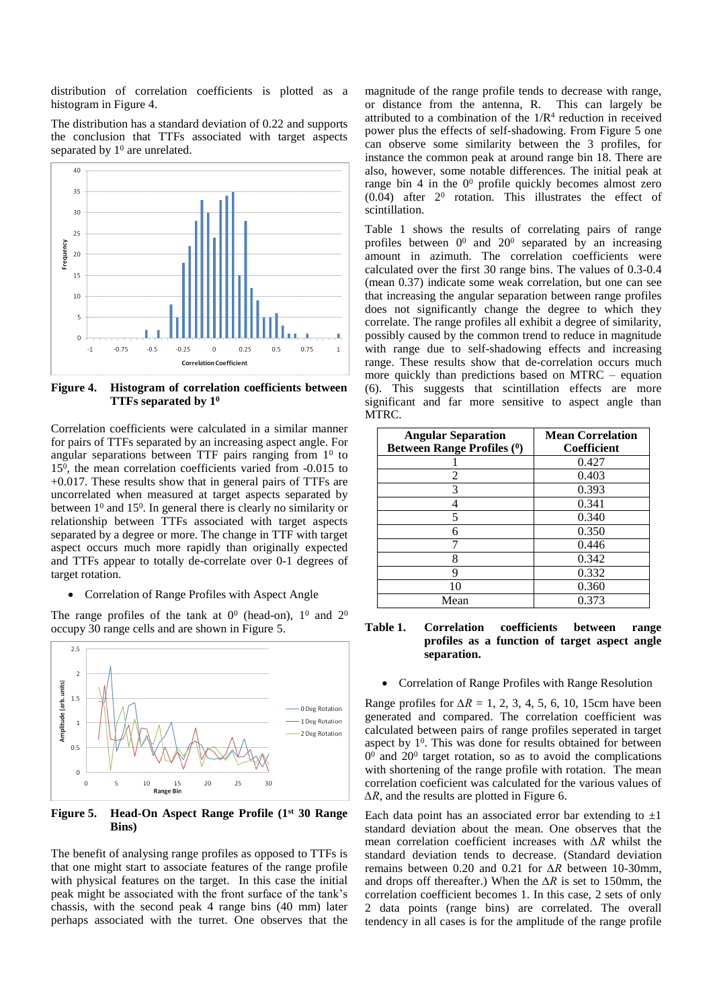distribution of correlation coefficients is plotted as a histogram in Figure 4.

The distribution has a standard deviation of 0.22 and supports the conclusion that TTFs associated with target aspects separated by  $1<sup>0</sup>$  are unrelated.



**Figure 4. Histogram of correlation coefficients between TTFs separated by 1<sup>0</sup>**

Correlation coefficients were calculated in a similar manner for pairs of TTFs separated by an increasing aspect angle. For angular separations between TTF pairs ranging from  $1<sup>0</sup>$  to 15<sup>0</sup> , the mean correlation coefficients varied from -0.015 to +0.017. These results show that in general pairs of TTFs are uncorrelated when measured at target aspects separated by between  $1^0$  and  $15^0$ . In general there is clearly no similarity or relationship between TTFs associated with target aspects separated by a degree or more. The change in TTF with target aspect occurs much more rapidly than originally expected and TTFs appear to totally de-correlate over 0-1 degrees of target rotation.

Correlation of Range Profiles with Aspect Angle

The range profiles of the tank at  $0^0$  (head-on),  $1^0$  and  $2^0$ occupy 30 range cells and are shown in Figure 5.



**Figure 5. Head-On Aspect Range Profile (1st 30 Range Bins)**

The benefit of analysing range profiles as opposed to TTFs is that one might start to associate features of the range profile with physical features on the target. In this case the initial peak might be associated with the front surface of the tank's chassis, with the second peak 4 range bins (40 mm) later perhaps associated with the turret. One observes that the magnitude of the range profile tends to decrease with range, or distance from the antenna, R. This can largely be attributed to a combination of the  $1/R<sup>4</sup>$  reduction in received power plus the effects of self-shadowing. From Figure 5 one can observe some similarity between the 3 profiles, for instance the common peak at around range bin 18. There are also, however, some notable differences. The initial peak at range bin 4 in the  $0^0$  profile quickly becomes almost zero  $(0.04)$  after  $2^0$  rotation. This illustrates the effect of scintillation.

Table 1 shows the results of correlating pairs of range profiles between  $0^0$  and  $20^0$  separated by an increasing amount in azimuth. The correlation coefficients were calculated over the first 30 range bins. The values of 0.3-0.4 (mean 0.37) indicate some weak correlation, but one can see that increasing the angular separation between range profiles does not significantly change the degree to which they correlate. The range profiles all exhibit a degree of similarity, possibly caused by the common trend to reduce in magnitude with range due to self-shadowing effects and increasing range. These results show that de-correlation occurs much more quickly than predictions based on MTRC – equation (6). This suggests that scintillation effects are more significant and far more sensitive to aspect angle than MTRC.

| <b>Angular Separation</b><br><b>Between Range Profiles (0)</b> | <b>Mean Correlation</b><br><b>Coefficient</b> |
|----------------------------------------------------------------|-----------------------------------------------|
|                                                                | 0.427                                         |
| 2                                                              | 0.403                                         |
| 3                                                              | 0.393                                         |
| 4                                                              | 0.341                                         |
| 5                                                              | 0.340                                         |
| 6                                                              | 0.350                                         |
| ⇁                                                              | 0.446                                         |
| 8                                                              | 0.342                                         |
| 9                                                              | 0.332                                         |
| 10                                                             | 0.360                                         |
| Mean                                                           | 0.373                                         |

### **Table 1. Correlation coefficients between range profiles as a function of target aspect angle separation.**

Correlation of Range Profiles with Range Resolution

Range profiles for  $\Delta R = 1, 2, 3, 4, 5, 6, 10, 15$ cm have been generated and compared. The correlation coefficient was calculated between pairs of range profiles seperated in target aspect by  $1^0$ . This was done for results obtained for between  $0<sup>0</sup>$  and  $20<sup>0</sup>$  target rotation, so as to avoid the complications with shortening of the range profile with rotation. The mean correlation coeficient was calculated for the various values of *∆R*, and the results are plotted in Figure 6.

Each data point has an associated error bar extending to  $\pm 1$ standard deviation about the mean. One observes that the mean correlation coefficient increases with *∆R* whilst the standard deviation tends to decrease. (Standard deviation remains between 0.20 and 0.21 for *∆R* between 10-30mm, and drops off thereafter.) When the *∆R* is set to 150mm, the correlation coefficient becomes 1. In this case, 2 sets of only 2 data points (range bins) are correlated. The overall tendency in all cases is for the amplitude of the range profile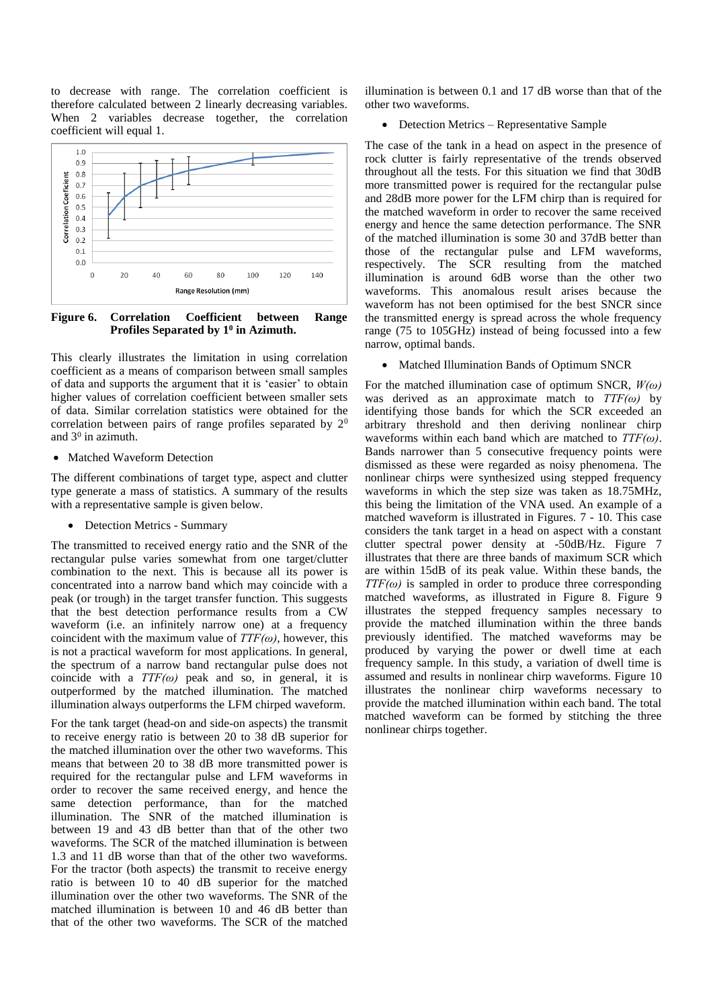to decrease with range. The correlation coefficient is therefore calculated between 2 linearly decreasing variables. When 2 variables decrease together, the correlation coefficient will equal 1.



**Figure 6. Correlation Coefficient between Range Profiles Separated by 1<sup>0</sup> in Azimuth.**

This clearly illustrates the limitation in using correlation coefficient as a means of comparison between small samples of data and supports the argument that it is 'easier' to obtain higher values of correlation coefficient between smaller sets of data. Similar correlation statistics were obtained for the correlation between pairs of range profiles separated by 2<sup>0</sup> and  $3^0$  in azimuth.

Matched Waveform Detection

The different combinations of target type, aspect and clutter type generate a mass of statistics. A summary of the results with a representative sample is given below.

• Detection Metrics - Summary

The transmitted to received energy ratio and the SNR of the rectangular pulse varies somewhat from one target/clutter combination to the next. This is because all its power is concentrated into a narrow band which may coincide with a peak (or trough) in the target transfer function. This suggests that the best detection performance results from a CW waveform (i.e. an infinitely narrow one) at a frequency coincident with the maximum value of  $TTF(\omega)$ , however, this is not a practical waveform for most applications. In general, the spectrum of a narrow band rectangular pulse does not coincide with a  $TTF(\omega)$  peak and so, in general, it is outperformed by the matched illumination. The matched illumination always outperforms the LFM chirped waveform.

For the tank target (head-on and side-on aspects) the transmit to receive energy ratio is between 20 to 38 dB superior for the matched illumination over the other two waveforms. This means that between 20 to 38 dB more transmitted power is required for the rectangular pulse and LFM waveforms in order to recover the same received energy, and hence the same detection performance, than for the matched illumination. The SNR of the matched illumination is between 19 and 43 dB better than that of the other two waveforms. The SCR of the matched illumination is between 1.3 and 11 dB worse than that of the other two waveforms. For the tractor (both aspects) the transmit to receive energy ratio is between 10 to 40 dB superior for the matched illumination over the other two waveforms. The SNR of the matched illumination is between 10 and 46 dB better than that of the other two waveforms. The SCR of the matched

illumination is between 0.1 and 17 dB worse than that of the other two waveforms.

Detection Metrics – Representative Sample

The case of the tank in a head on aspect in the presence of rock clutter is fairly representative of the trends observed throughout all the tests. For this situation we find that 30dB more transmitted power is required for the rectangular pulse and 28dB more power for the LFM chirp than is required for the matched waveform in order to recover the same received energy and hence the same detection performance. The SNR of the matched illumination is some 30 and 37dB better than those of the rectangular pulse and LFM waveforms, respectively. The SCR resulting from the matched illumination is around 6dB worse than the other two waveforms. This anomalous result arises because the waveform has not been optimised for the best SNCR since the transmitted energy is spread across the whole frequency range (75 to 105GHz) instead of being focussed into a few narrow, optimal bands.

• Matched Illumination Bands of Optimum SNCR

For the matched illumination case of optimum SNCR, *W(ω)* was derived as an approximate match to *TTF(ω)* by identifying those bands for which the SCR exceeded an arbitrary threshold and then deriving nonlinear chirp waveforms within each band which are matched to *TTF(ω)*. Bands narrower than 5 consecutive frequency points were dismissed as these were regarded as noisy phenomena. The nonlinear chirps were synthesized using stepped frequency waveforms in which the step size was taken as 18.75MHz, this being the limitation of the VNA used. An example of a matched waveform is illustrated in Figures. 7 - 10. This case considers the tank target in a head on aspect with a constant clutter spectral power density at -50dB/Hz. Figure 7 illustrates that there are three bands of maximum SCR which are within 15dB of its peak value. Within these bands, the *TTF(ω)* is sampled in order to produce three corresponding matched waveforms, as illustrated in Figure 8. Figure 9 illustrates the stepped frequency samples necessary to provide the matched illumination within the three bands previously identified. The matched waveforms may be produced by varying the power or dwell time at each frequency sample. In this study, a variation of dwell time is assumed and results in nonlinear chirp waveforms. Figure 10 illustrates the nonlinear chirp waveforms necessary to provide the matched illumination within each band. The total matched waveform can be formed by stitching the three nonlinear chirps together.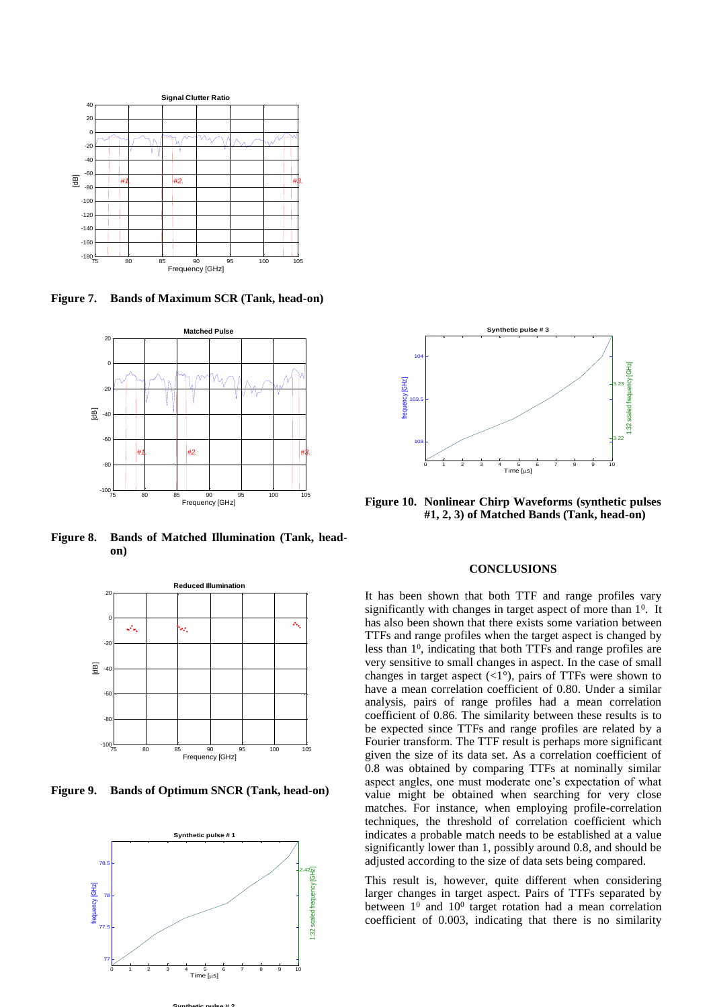

**Figure 7. Bands of Maximum SCR (Tank, head-on)**



**Figure 8. Bands of Matched Illumination (Tank, headon)**



**Figure 9. Bands of Optimum SNCR (Tank, head-on)**





**Figure 10. Nonlinear Chirp Waveforms (synthetic pulses #1, 2, 3) of Matched Bands (Tank, head-on)**

# **CONCLUSIONS**

It has been shown that both TTF and range profiles vary significantly with changes in target aspect of more than  $1<sup>0</sup>$ . It has also been shown that there exists some variation between TTFs and range profiles when the target aspect is changed by less than  $1^0$ , indicating that both TTFs and range profiles are very sensitive to small changes in aspect. In the case of small changes in target aspect  $\left(\langle 1^{\circ} \rangle \right)$ , pairs of TTFs were shown to have a mean correlation coefficient of 0.80. Under a similar analysis, pairs of range profiles had a mean correlation coefficient of 0.86. The similarity between these results is to be expected since TTFs and range profiles are related by a Fourier transform. The TTF result is perhaps more significant given the size of its data set. As a correlation coefficient of 0.8 was obtained by comparing TTFs at nominally similar aspect angles, one must moderate one's expectation of what value might be obtained when searching for very close matches. For instance, when employing profile-correlation techniques, the threshold of correlation coefficient which indicates a probable match needs to be established at a value significantly lower than 1, possibly around 0.8, and should be adjusted according to the size of data sets being compared.

This result is, however, quite different when considering larger changes in target aspect. Pairs of TTFs separated by between  $1^0$  and  $10^0$  target rotation had a mean correlation coefficient of 0.003, indicating that there is no similarity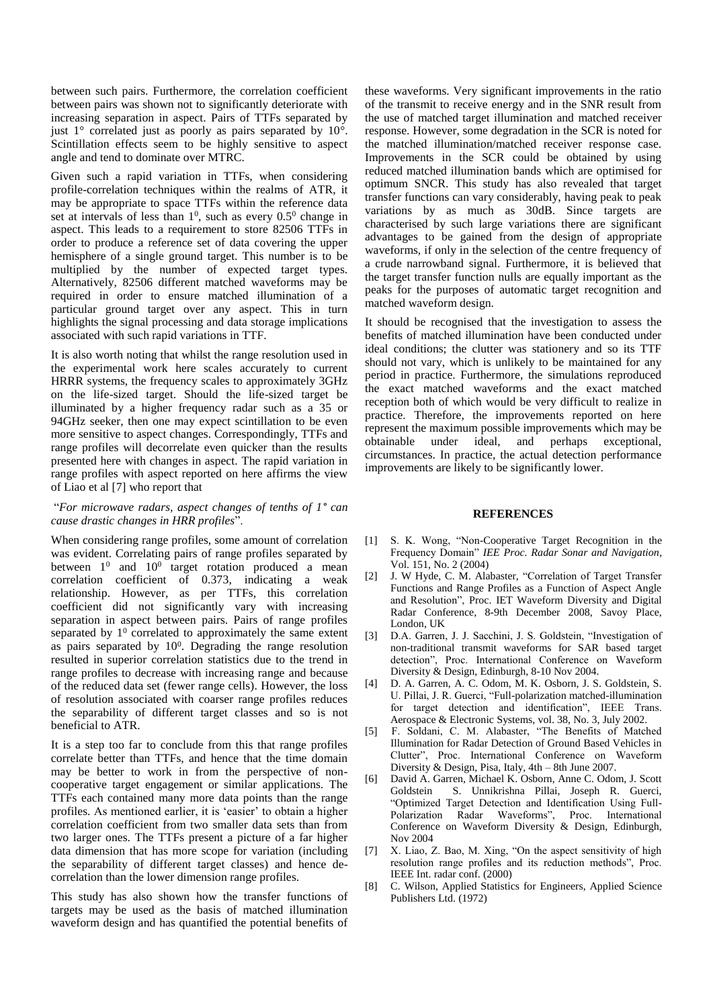between such pairs. Furthermore, the correlation coefficient between pairs was shown not to significantly deteriorate with increasing separation in aspect. Pairs of TTFs separated by just  $1^\circ$  correlated just as poorly as pairs separated by  $10^\circ$ . Scintillation effects seem to be highly sensitive to aspect angle and tend to dominate over MTRC.

Given such a rapid variation in TTFs, when considering profile-correlation techniques within the realms of ATR, it may be appropriate to space TTFs within the reference data set at intervals of less than  $1^0$ , such as every  $0.5^0$  change in aspect. This leads to a requirement to store 82506 TTFs in order to produce a reference set of data covering the upper hemisphere of a single ground target. This number is to be multiplied by the number of expected target types. Alternatively, 82506 different matched waveforms may be required in order to ensure matched illumination of a particular ground target over any aspect. This in turn highlights the signal processing and data storage implications associated with such rapid variations in TTF.

It is also worth noting that whilst the range resolution used in the experimental work here scales accurately to current HRRR systems, the frequency scales to approximately 3GHz on the life-sized target. Should the life-sized target be illuminated by a higher frequency radar such as a 35 or 94GHz seeker, then one may expect scintillation to be even more sensitive to aspect changes. Correspondingly, TTFs and range profiles will decorrelate even quicker than the results presented here with changes in aspect. The rapid variation in range profiles with aspect reported on here affirms the view of Liao et al [7] who report that

## "*For microwave radars, aspect changes of tenths of 1° can cause drastic changes in HRR profiles*".

When considering range profiles, some amount of correlation was evident. Correlating pairs of range profiles separated by between  $1^0$  and  $10^0$  target rotation produced a mean correlation coefficient of 0.373, indicating a weak relationship. However, as per TTFs, this correlation coefficient did not significantly vary with increasing separation in aspect between pairs. Pairs of range profiles separated by  $1^0$  correlated to approximately the same extent as pairs separated by  $10^0$ . Degrading the range resolution resulted in superior correlation statistics due to the trend in range profiles to decrease with increasing range and because of the reduced data set (fewer range cells). However, the loss of resolution associated with coarser range profiles reduces the separability of different target classes and so is not beneficial to ATR.

It is a step too far to conclude from this that range profiles correlate better than TTFs, and hence that the time domain may be better to work in from the perspective of noncooperative target engagement or similar applications. The TTFs each contained many more data points than the range profiles. As mentioned earlier, it is 'easier' to obtain a higher correlation coefficient from two smaller data sets than from two larger ones. The TTFs present a picture of a far higher data dimension that has more scope for variation (including the separability of different target classes) and hence decorrelation than the lower dimension range profiles.

This study has also shown how the transfer functions of targets may be used as the basis of matched illumination waveform design and has quantified the potential benefits of these waveforms. Very significant improvements in the ratio of the transmit to receive energy and in the SNR result from the use of matched target illumination and matched receiver response. However, some degradation in the SCR is noted for the matched illumination/matched receiver response case. Improvements in the SCR could be obtained by using reduced matched illumination bands which are optimised for optimum SNCR. This study has also revealed that target transfer functions can vary considerably, having peak to peak variations by as much as 30dB. Since targets are characterised by such large variations there are significant advantages to be gained from the design of appropriate waveforms, if only in the selection of the centre frequency of a crude narrowband signal. Furthermore, it is believed that the target transfer function nulls are equally important as the peaks for the purposes of automatic target recognition and matched waveform design.

It should be recognised that the investigation to assess the benefits of matched illumination have been conducted under ideal conditions; the clutter was stationery and so its TTF should not vary, which is unlikely to be maintained for any period in practice. Furthermore, the simulations reproduced the exact matched waveforms and the exact matched reception both of which would be very difficult to realize in practice. Therefore, the improvements reported on here represent the maximum possible improvements which may be obtainable under ideal, and perhaps exceptional, circumstances. In practice, the actual detection performance improvements are likely to be significantly lower.

### **REFERENCES**

- [1] S. K. Wong, "Non-Cooperative Target Recognition in the Frequency Domain" *IEE Proc. Radar Sonar and Navigation*, Vol. 151, No. 2 (2004)
- [2] J. W Hyde, C. M. Alabaster, "Correlation of Target Transfer Functions and Range Profiles as a Function of Aspect Angle and Resolution", Proc. IET Waveform Diversity and Digital Radar Conference, 8-9th December 2008, Savoy Place, London, UK
- [3] D.A. Garren, J. J. Sacchini, J. S. Goldstein, "Investigation of non-traditional transmit waveforms for SAR based target detection", Proc. International Conference on Waveform Diversity & Design, Edinburgh, 8-10 Nov 2004.
- [4] D. A. Garren, A. C. Odom, M. K. Osborn, J. S. Goldstein, S. U. Pillai, J. R. Guerci, "Full-polarization matched-illumination for target detection and identification", IEEE Trans. Aerospace & Electronic Systems, vol. 38, No. 3, July 2002.
- [5] F. Soldani, C. M. Alabaster, "The Benefits of Matched Illumination for Radar Detection of Ground Based Vehicles in Clutter", Proc. International Conference on Waveform Diversity & Design, Pisa, Italy, 4th – 8th June 2007.
- [6] David A. Garren, Michael K. Osborn, Anne C. Odom, J. Scott Goldstein S. Unnikrishna Pillai, Joseph R. Guerci, "Optimized Target Detection and Identification Using Full-Polarization Radar Waveforms", Proc. International Conference on Waveform Diversity & Design, Edinburgh, Nov 2004
- [7] X. Liao, Z. Bao, M. Xing, "On the aspect sensitivity of high resolution range profiles and its reduction methods", Proc. IEEE Int. radar conf. (2000)
- [8] C. Wilson, Applied Statistics for Engineers, Applied Science Publishers Ltd. (1972)